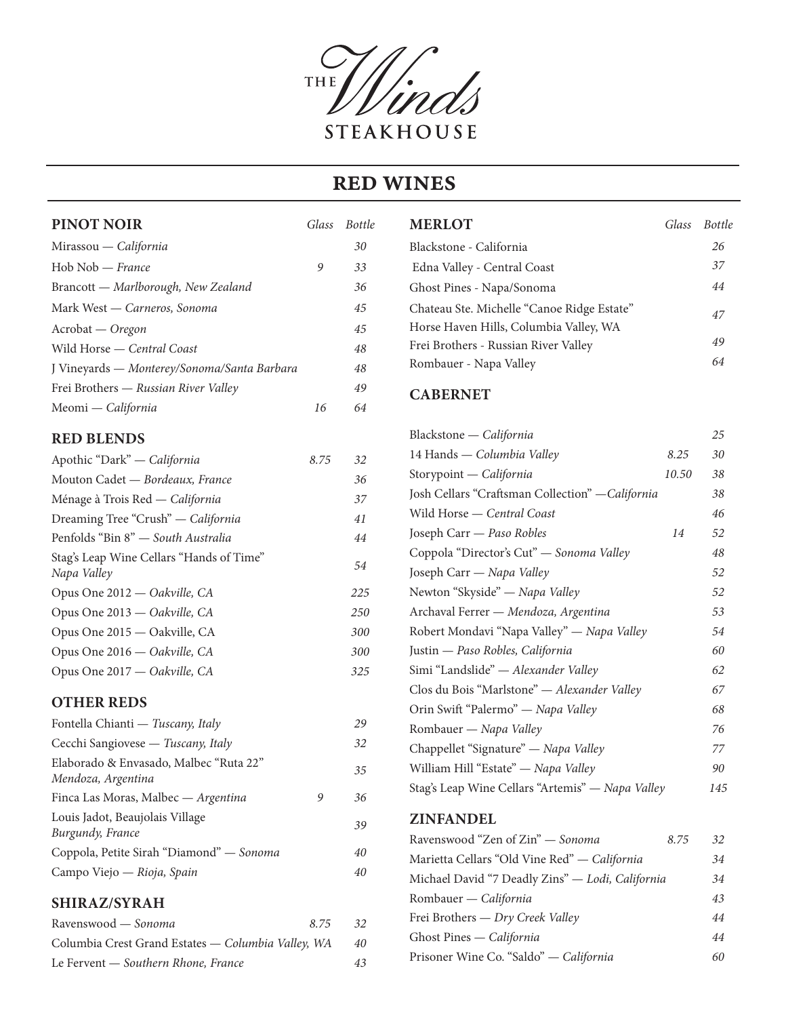

### RED WINES

### **PINOT NOIR** *Glass Bottle* Mirassou — *California 30* Hob Nob — *France 9 33* Brancott — *Marlborough, New Zealand 36* Mark West — *Carneros, Sonoma 45* Acrobat — *Oregon 45* Wild Horse — *Central Coast 48* J Vineyards — *Monterey/Sonoma/Santa Barbara 48* Frei Brothers — *Russian River Valley 49* Meomi — *California 16 64*

#### **RED BLENDS**

| 8.75 | 32  |
|------|-----|
|      | 36  |
|      | 37  |
|      | 41  |
|      | 44  |
|      | 54  |
|      | 225 |
|      | 250 |
|      | 300 |
|      | 300 |
|      | 325 |
|      |     |

#### **OTHER REDS**

| Fontella Chianti — Tuscany, Italy                            |   | 29 |
|--------------------------------------------------------------|---|----|
| Cecchi Sangiovese — Tuscany, Italy                           |   | 32 |
| Elaborado & Envasado, Malbec "Ruta 22"<br>Mendoza, Argentina |   | 35 |
| Finca Las Moras, Malbec — Argentina                          | 9 | 36 |
| Louis Jadot, Beaujolais Village<br>Burgundy, France          |   | 39 |
| Coppola, Petite Sirah "Diamond" — Sonoma                     |   | 40 |
| Campo Viejo — Rioja, Spain                                   |   | 40 |
|                                                              |   |    |

#### **SHIRAZ/SYRAH**

| Ravenswood — Sonoma                                | 8.75 | -32 |
|----------------------------------------------------|------|-----|
| Columbia Crest Grand Estates — Columbia Valley, WA |      | 40  |
| Le Fervent — Southern Rhone, France                |      | 43  |

| <b>MERLOT</b>                              | Glass Bottle |
|--------------------------------------------|--------------|
| Blackstone - California                    | 26           |
| Edna Valley - Central Coast                | 37           |
| Ghost Pines - Napa/Sonoma                  | 44           |
| Chateau Ste. Michelle "Canoe Ridge Estate" | 47           |
| Horse Haven Hills, Columbia Valley, WA     |              |
| Frei Brothers - Russian River Valley       | 49           |
| Rombauer - Napa Valley                     | 64           |

#### **CABERNET**

| Blackstone - California                          |       | 25  |
|--------------------------------------------------|-------|-----|
| 14 Hands - Columbia Valley                       | 8.25  | 30  |
| Storypoint - California                          | 10.50 | 38  |
| Josh Cellars "Craftsman Collection" - California |       | 38  |
| Wild Horse - Central Coast                       |       | 46  |
| Joseph Carr - Paso Robles                        | 14    | 52  |
| Coppola "Director's Cut" - Sonoma Valley         |       | 48  |
| Joseph Carr - Napa Valley                        |       | 52  |
| Newton "Skyside" - Napa Valley                   |       | 52  |
| Archaval Ferrer - Mendoza, Argentina             |       | 53  |
| Robert Mondavi "Napa Valley" - Napa Valley       |       | 54  |
| Justin - Paso Robles, California                 |       | 60  |
| Simi "Landslide" - Alexander Valley              |       | 62  |
| Clos du Bois "Marlstone" - Alexander Valley      |       | 67  |
| Orin Swift "Palermo" - Napa Valley               |       | 68  |
| Rombauer - Napa Valley                           |       | 76  |
| Chappellet "Signature" - Napa Valley             |       | 77  |
| William Hill "Estate" - Napa Valley              |       | 90  |
| Stag's Leap Wine Cellars "Artemis" - Napa Valley |       | 145 |
| <b>ZINFANDEL</b>                                 |       |     |
| Ravenswood "Zen of Zin" - Sonoma                 | 8.75  | 32  |
| Marietta Cellars "Old Vine Red" - California     |       | 34  |
| Michael David "7 Deadly Zins" - Lodi, California |       | 34  |
| Rombauer - California                            |       | 43  |
| Frei Brothers - Dry Creek Valley                 |       | 44  |
| Ghost Pines - California                         |       | 44  |

Prisoner Wine Co. "Saldo" — *California 60*